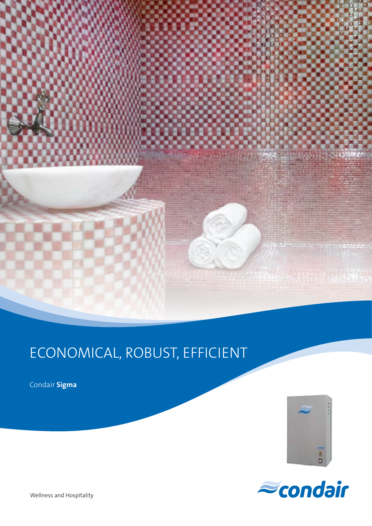

# ECONOMICAL, ROBUST, EFFICIENT

Condair **Sigma**





Wellness and Hospitality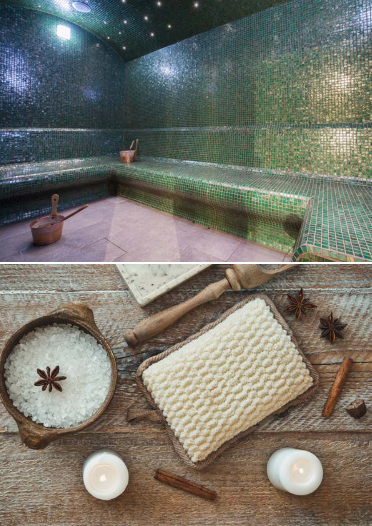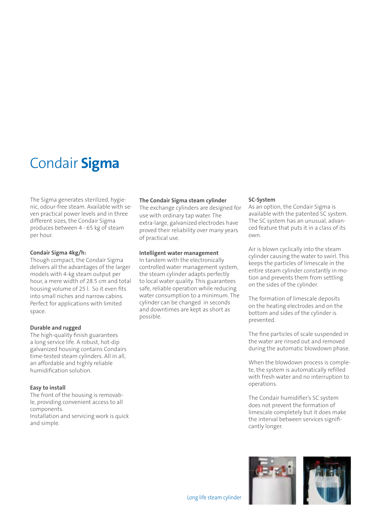## Condair **Sigma**

The Sigma generates sterilized, hygienic, odour-free steam. Available with seven practical power levels and in three different sizes, the Condair Sigma produces between 4 - 65 kg of steam per hour.

#### **Condair Sigma 4kg/h:**

Though compact, the Condair Sigma delivers all the advantages of the larger models with 4-kg steam output per hour, a mere width of 28.5 cm and total housing volume of 25 l. So it even fits into small niches and narrow cabins. Perfect for applications with limited space.

#### **Durable and rugged**

The high-quality finish guarantees a long service life. A robust, hot-dip galvanized housing contains Condairs time-tested steam cylinders. All in all, an affordable and highly reliable humidification solution.

#### **Easy to install**

The front of the housing is removable, providing convenient access to all components. Installation and servicing work is quick and simple.

#### **The Condair Sigma steam cylinder**

The exchange cylinders are designed for use with ordinary tap water. The extra-large, galvanized electrodes have proved their reliability over many years of practical use.

#### **Intelligent water management**

In tandem with the electronically controlled water management system, the steam cylinder adapts perfectly to local water quality. This guarantees safe, reliable operation while reducing water consumption to a minimum. The cylinder can be changed in seconds and downtimes are kept as short as possible.

#### **SC-System**

As an option, the Condair Sigma is available with the patented SC system. The SC system has an unusual, advanced feature that puts it in a class of its own.

Air is blown cyclically into the steam cylinder causing the water to swirl. This keeps the particles of limescale in the entire steam cylinder constantly in motion and prevents them from settling on the sides of the cylinder.

The formation of limescale deposits on the heating electrodes and on the bottom and sides of the cylinder is prevented.

The fine particles of scale suspended in the water are rinsed out and removed during the automatic blowdown phase.

When the blowdown process is complete, the system is automatically refilled with fresh water and no interruption to operations.

The Condair humidifier's SC system does not prevent the formation of limescale completely but it does make the interval between services significantly longer.